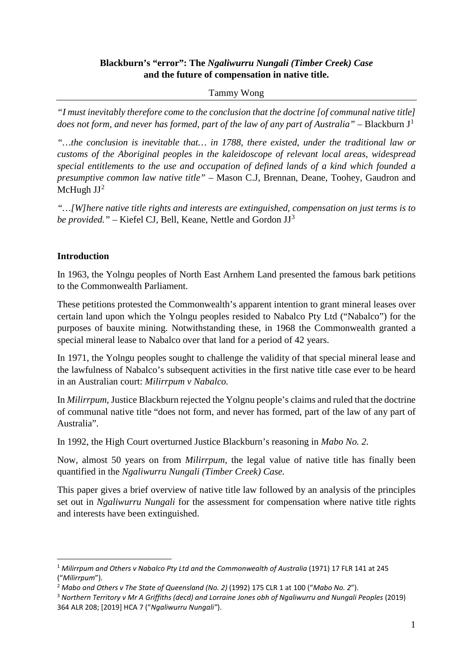## **Blackburn's "error": The** *Ngaliwurru Nungali (Timber Creek) Case* **and the future of compensation in native title.**

## Tammy Wong

*"I must inevitably therefore come to the conclusion that the doctrine [of communal native title] does not form, and never has formed, part of the law of any part of Australia" – Blackburn*  $J<sup>1</sup>$  $J<sup>1</sup>$  $J<sup>1</sup>$ 

*"…the conclusion is inevitable that… in 1788, there existed, under the traditional law or customs of the Aboriginal peoples in the kaleidoscope of relevant local areas, widespread special entitlements to the use and occupation of defined lands of a kind which founded a presumptive common law native title"* – Mason C.J, Brennan, Deane, Toohey, Gaudron and McHugh  $JJ^2$  $JJ^2$ 

*"…[W]here native title rights and interests are extinguished, compensation on just terms is to be provided." –* Kiefel CJ, Bell, Keane, Nettle and Gordon JJ[3](#page-0-2)

## **Introduction**

In 1963, the Yolngu peoples of North East Arnhem Land presented the famous bark petitions to the Commonwealth Parliament.

These petitions protested the Commonwealth's apparent intention to grant mineral leases over certain land upon which the Yolngu peoples resided to Nabalco Pty Ltd ("Nabalco") for the purposes of bauxite mining. Notwithstanding these, in 1968 the Commonwealth granted a special mineral lease to Nabalco over that land for a period of 42 years.

In 1971, the Yolngu peoples sought to challenge the validity of that special mineral lease and the lawfulness of Nabalco's subsequent activities in the first native title case ever to be heard in an Australian court: *Milirrpum v Nabalco.*

In *Milirrpum,* Justice Blackburn rejected the Yolgnu people's claims and ruled that the doctrine of communal native title "does not form, and never has formed, part of the law of any part of Australia".

In 1992, the High Court overturned Justice Blackburn's reasoning in *Mabo No. 2.* 

Now, almost 50 years on from *Milirrpum*, the legal value of native title has finally been quantified in the *Ngaliwurru Nungali (Timber Creek) Case.*

This paper gives a brief overview of native title law followed by an analysis of the principles set out in *Ngaliwurru Nungali* for the assessment for compensation where native title rights and interests have been extinguished.

<span id="page-0-0"></span><sup>&</sup>lt;sup>1</sup> Milirrpum and Others v Nabalco Pty Ltd and the Commonwealth of Australia (1971) 17 FLR 141 at 245 ("*Milirrpum*").

<span id="page-0-1"></span><sup>2</sup> *Mabo and Others v The State of Queensland (No. 2)* (1992) 175 CLR 1 at 100 ("*Mabo No. 2*").

<span id="page-0-2"></span><sup>3</sup> *Northern Territory v Mr A Griffiths (decd) and Lorraine Jones obh of Ngaliwurru and Nungali Peoples* (2019) 364 ALR 208; [2019] HCA 7 ("*Ngaliwurru Nungali"*).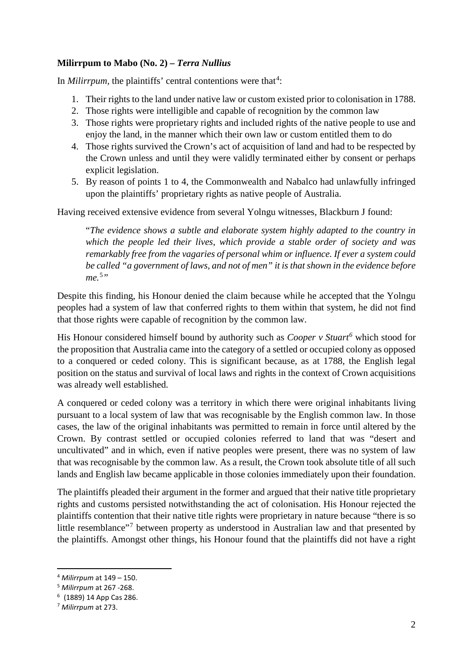## **Milirrpum to Mabo (No. 2) –** *Terra Nullius*

In *Milirrpum*, the plaintiffs' central contentions were that<sup>[4](#page-1-0)</sup>:

- 1. Their rights to the land under native law or custom existed prior to colonisation in 1788.
- 2. Those rights were intelligible and capable of recognition by the common law
- 3. Those rights were proprietary rights and included rights of the native people to use and enjoy the land, in the manner which their own law or custom entitled them to do
- 4. Those rights survived the Crown's act of acquisition of land and had to be respected by the Crown unless and until they were validly terminated either by consent or perhaps explicit legislation.
- 5. By reason of points 1 to 4, the Commonwealth and Nabalco had unlawfully infringed upon the plaintiffs' proprietary rights as native people of Australia.

Having received extensive evidence from several Yolngu witnesses, Blackburn J found:

"*The evidence shows a subtle and elaborate system highly adapted to the country in which the people led their lives, which provide a stable order of society and was remarkably free from the vagaries of personal whim or influence. If ever a system could be called "a government of laws, and not of men" it is that shown in the evidence before me.* [5](#page-1-1) *"*

Despite this finding, his Honour denied the claim because while he accepted that the Yolngu peoples had a system of law that conferred rights to them within that system, he did not find that those rights were capable of recognition by the common law.

His Honour considered himself bound by authority such as *Cooper v Stuart [6](#page-1-2)* which stood for the proposition that Australia came into the category of a settled or occupied colony as opposed to a conquered or ceded colony. This is significant because, as at 1788, the English legal position on the status and survival of local laws and rights in the context of Crown acquisitions was already well established.

A conquered or ceded colony was a territory in which there were original inhabitants living pursuant to a local system of law that was recognisable by the English common law. In those cases, the law of the original inhabitants was permitted to remain in force until altered by the Crown. By contrast settled or occupied colonies referred to land that was "desert and uncultivated" and in which, even if native peoples were present, there was no system of law that was recognisable by the common law. As a result, the Crown took absolute title of all such lands and English law became applicable in those colonies immediately upon their foundation.

The plaintiffs pleaded their argument in the former and argued that their native title proprietary rights and customs persisted notwithstanding the act of colonisation. His Honour rejected the plaintiffs contention that their native title rights were proprietary in nature because "there is so little resemblance<sup>"[7](#page-1-3)</sup> between property as understood in Australian law and that presented by the plaintiffs. Amongst other things, his Honour found that the plaintiffs did not have a right

<span id="page-1-0"></span><sup>4</sup> *Milirrpum* at 149 – 150. 5 *Milirrpum* at 267 -268.

<span id="page-1-1"></span>

<span id="page-1-2"></span><sup>6</sup> (1889) 14 App Cas 286.

<span id="page-1-3"></span><sup>7</sup> *Milirrpum* at 273.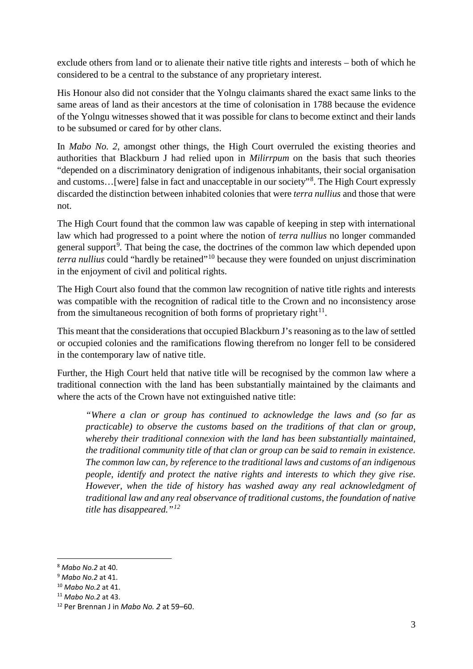exclude others from land or to alienate their native title rights and interests – both of which he considered to be a central to the substance of any proprietary interest.

His Honour also did not consider that the Yolngu claimants shared the exact same links to the same areas of land as their ancestors at the time of colonisation in 1788 because the evidence of the Yolngu witnesses showed that it was possible for clans to become extinct and their lands to be subsumed or cared for by other clans.

In *Mabo No. 2,* amongst other things, the High Court overruled the existing theories and authorities that Blackburn J had relied upon in *Milirrpum* on the basis that such theories "depended on a discriminatory denigration of indigenous inhabitants, their social organisation and customs...[were] false in fact and unacceptable in our society"<sup>[8](#page-2-0)</sup>. The High Court expressly discarded the distinction between inhabited colonies that were *terra nullius* and those that were not.

The High Court found that the common law was capable of keeping in step with international law which had progressed to a point where the notion of *terra nullius* no longer commanded general support<sup>[9](#page-2-1)</sup>. That being the case, the doctrines of the common law which depended upon *terra nullius* could "hardly be retained"[10](#page-2-2) because they were founded on unjust discrimination in the enjoyment of civil and political rights.

The High Court also found that the common law recognition of native title rights and interests was compatible with the recognition of radical title to the Crown and no inconsistency arose from the simultaneous recognition of both forms of proprietary right $^{11}$ .

This meant that the considerations that occupied Blackburn J's reasoning as to the law of settled or occupied colonies and the ramifications flowing therefrom no longer fell to be considered in the contemporary law of native title.

Further, the High Court held that native title will be recognised by the common law where a traditional connection with the land has been substantially maintained by the claimants and where the acts of the Crown have not extinguished native title:

*"Where a clan or group has continued to acknowledge the laws and (so far as practicable) to observe the customs based on the traditions of that clan or group, whereby their traditional connexion with the land has been substantially maintained, the traditional community title of that clan or group can be said to remain in existence. The common law can, by reference to the traditional laws and customs of an indigenous people, identify and protect the native rights and interests to which they give rise. However, when the tide of history has washed away any real acknowledgment of traditional law and any real observance of traditional customs, the foundation of native title has disappeared."[12](#page-2-4)*

<span id="page-2-1"></span><span id="page-2-0"></span><sup>8</sup> *Mabo No.2* at 40. 9 *Mabo No.2* at 41.

<span id="page-2-2"></span><sup>10</sup> *Mabo No.2* at 41.

<span id="page-2-3"></span><sup>11</sup> *Mabo No.2* at 43.

<span id="page-2-4"></span><sup>12</sup> Per Brennan J in *Mabo No. 2* at 59–60.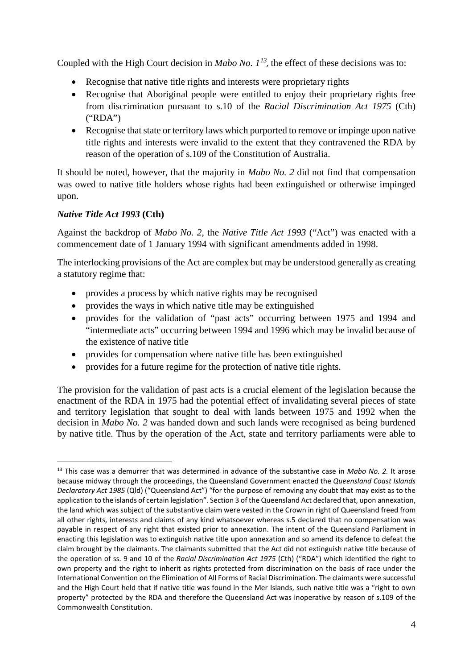Coupled with the High Court decision in *Mabo No.*  $1^{13}$  $1^{13}$  $1^{13}$ , the effect of these decisions was to:

- Recognise that native title rights and interests were proprietary rights
- Recognise that Aboriginal people were entitled to enjoy their proprietary rights free from discrimination pursuant to s.10 of the *Racial Discrimination Act 1975* (Cth) ("RDA")
- Recognise that state or territory laws which purported to remove or impinge upon native title rights and interests were invalid to the extent that they contravened the RDA by reason of the operation of s.109 of the Constitution of Australia.

It should be noted, however, that the majority in *Mabo No. 2* did not find that compensation was owed to native title holders whose rights had been extinguished or otherwise impinged upon.

## *Native Title Act 1993* **(Cth)**

Against the backdrop of *Mabo No. 2*, the *Native Title Act 1993* ("Act") was enacted with a commencement date of 1 January 1994 with significant amendments added in 1998.

The interlocking provisions of the Act are complex but may be understood generally as creating a statutory regime that:

- provides a process by which native rights may be recognised
- provides the ways in which native title may be extinguished
- provides for the validation of "past acts" occurring between 1975 and 1994 and "intermediate acts" occurring between 1994 and 1996 which may be invalid because of the existence of native title
- provides for compensation where native title has been extinguished
- provides for a future regime for the protection of native title rights.

The provision for the validation of past acts is a crucial element of the legislation because the enactment of the RDA in 1975 had the potential effect of invalidating several pieces of state and territory legislation that sought to deal with lands between 1975 and 1992 when the decision in *Mabo No. 2* was handed down and such lands were recognised as being burdened by native title. Thus by the operation of the Act, state and territory parliaments were able to

<span id="page-3-0"></span> <sup>13</sup> This case was a demurrer that was determined in advance of the substantive case in *Mabo No. 2.* It arose because midway through the proceedings, the Queensland Government enacted the *Queensland Coast Islands Declaratory Act 1985* (Qld) ("Queensland Act") "for the purpose of removing any doubt that may exist as to the application to the islands of certain legislation". Section 3 of the Queensland Act declared that, upon annexation, the land which was subject of the substantive claim were vested in the Crown in right of Queensland freed from all other rights, interests and claims of any kind whatsoever whereas s.5 declared that no compensation was payable in respect of any right that existed prior to annexation. The intent of the Queensland Parliament in enacting this legislation was to extinguish native title upon annexation and so amend its defence to defeat the claim brought by the claimants. The claimants submitted that the Act did not extinguish native title because of the operation of ss. 9 and 10 of the *Racial Discrimination Act 1975* (Cth) ("RDA") which identified the right to own property and the right to inherit as rights protected from discrimination on the basis of race under the International Convention on the Elimination of All Forms of Racial Discrimination. The claimants were successful and the High Court held that if native title was found in the Mer Islands, such native title was a "right to own property" protected by the RDA and therefore the Queensland Act was inoperative by reason of s.109 of the Commonwealth Constitution.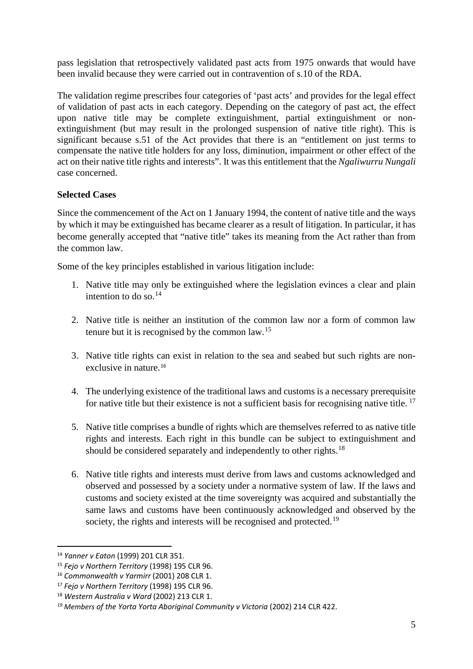pass legislation that retrospectively validated past acts from 1975 onwards that would have been invalid because they were carried out in contravention of s.10 of the RDA.

The validation regime prescribes four categories of 'past acts' and provides for the legal effect of validation of past acts in each category. Depending on the category of past act, the effect upon native title may be complete extinguishment, partial extinguishment or nonextinguishment (but may result in the prolonged suspension of native title right). This is significant because s.51 of the Act provides that there is an "entitlement on just terms to compensate the native title holders for any loss, diminution, impairment or other effect of the act on their native title rights and [interests"](http://classic.austlii.edu.au/au/legis/cth/consol_act/nta1993147/s253.html#interest). It was this entitlement that the *Ngaliwurru Nungali*  case concerned.

## **Selected Cases**

Since the commencement of the Act on 1 January 1994, the content of native title and the ways by which it may be extinguished has became clearer as a result of litigation. In particular, it has become generally accepted that "native title" takes its meaning from the Act rather than from the common law.

Some of the key principles established in various litigation include:

- 1. Native title may only be extinguished where the legislation evinces a clear and plain intention to do so. [14](#page-4-0)
- 2. Native title is neither an institution of the common law nor a form of common law tenure but it is recognised by the common law.[15](#page-4-1)
- 3. Native title rights can exist in relation to the sea and seabed but such rights are nonexclusive in nature. [16](#page-4-2)
- 4. The underlying existence of the traditional laws and customs is a necessary prerequisite for native title but their existence is not a sufficient basis for recognising native title.<sup>[17](#page-4-3)</sup>
- 5. Native title comprises a bundle of rights which are themselves referred to as native title rights and interests. Each right in this bundle can be subject to extinguishment and should be considered separately and independently to other rights.<sup>[18](#page-4-4)</sup>
- 6. Native title rights and interests must derive from laws and customs acknowledged and observed and possessed by a society under a normative system of law. If the laws and customs and society existed at the time sovereignty was acquired and substantially the same laws and customs have been continuously acknowledged and observed by the society, the rights and interests will be recognised and protected.<sup>[19](#page-4-5)</sup>

<span id="page-4-0"></span> <sup>14</sup> *Yanner v Eaton* (1999) 201 CLR 351.

<span id="page-4-1"></span><sup>15</sup> *Fejo v Northern Territory* (1998) 195 CLR 96.

<span id="page-4-2"></span><sup>16</sup> *Commonwealth v Yarmirr* (2001) 208 CLR 1.

<span id="page-4-3"></span><sup>17</sup> *Fejo v Northern Territory* (1998) 195 CLR 96.

<span id="page-4-4"></span><sup>18</sup> *Western Australia v Ward* (2002) 213 CLR 1.

<span id="page-4-5"></span>*<sup>19</sup> Members of the Yorta Yorta Aboriginal Community v Victoria* (2002) 214 CLR 422.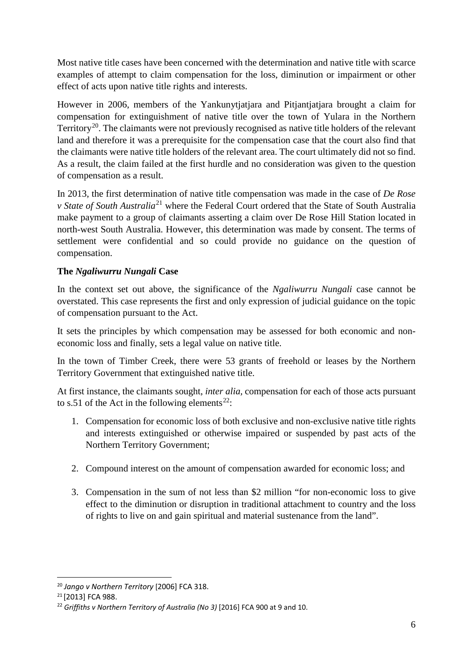Most native title cases have been concerned with the determination and native title with scarce examples of attempt to claim compensation for the loss, diminution or impairment or other effect of acts upon native title rights and interests.

However in 2006, members of the Yankunytjatjara and Pitjantjatjara brought a claim for compensation for extinguishment of native title over the town of Yulara in the Northern Territory<sup>20</sup>. The claimants were not previously recognised as native title holders of the relevant land and therefore it was a prerequisite for the compensation case that the court also find that the claimants were native title holders of the relevant area. The court ultimately did not so find. As a result, the claim failed at the first hurdle and no consideration was given to the question of compensation as a result.

In 2013, the first determination of native title compensation was made in the case of *De Rose v State of South Australia*[21](#page-5-1) where the Federal Court ordered that the State of South Australia make payment to a group of claimants asserting a claim over De Rose Hill Station located in north-west South Australia. However, this determination was made by consent. The terms of settlement were confidential and so could provide no guidance on the question of compensation.

# **The** *Ngaliwurru Nungali* **Case**

In the context set out above, the significance of the *Ngaliwurru Nungali* case cannot be overstated. This case represents the first and only expression of judicial guidance on the topic of compensation pursuant to the Act.

It sets the principles by which compensation may be assessed for both economic and noneconomic loss and finally, sets a legal value on native title.

In the town of Timber Creek, there were 53 grants of freehold or leases by the Northern Territory Government that extinguished native title.

At first instance, the claimants sought, *inter alia,* compensation for each of those acts pursuant to s.51 of the Act in the following elements<sup>22</sup>:

- 1. Compensation for economic loss of both exclusive and non-exclusive native title rights and interests extinguished or otherwise impaired or suspended by past acts of the Northern Territory Government;
- 2. Compound interest on the amount of compensation awarded for economic loss; and
- 3. Compensation in the sum of not less than \$2 million "for non-economic loss to give effect to the diminution or disruption in traditional attachment to country and the loss of rights to live on and gain spiritual and material sustenance from the land".

<span id="page-5-0"></span> <sup>20</sup> *Jango v Northern Territory* [2006] FCA 318.

<span id="page-5-1"></span><sup>21</sup> [2013] FCA 988.

<span id="page-5-2"></span><sup>&</sup>lt;sup>22</sup> Griffiths v Northern Territory of Australia (No 3) [2016] FCA 900 at 9 and 10.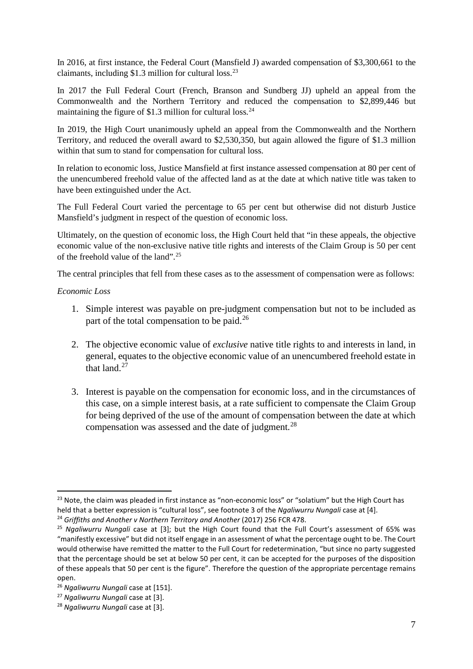In 2016, at first instance, the Federal Court (Mansfield J) awarded compensation of \$3,300,661 to the claimants, including \$1.3 million for cultural loss. [23](#page-6-0)

In 2017 the Full Federal Court (French, Branson and Sundberg JJ) upheld an appeal from the Commonwealth and the Northern Territory and reduced the compensation to \$2,899,446 but maintaining the figure of \$1.3 million for cultural loss.<sup>[24](#page-6-1)</sup>

In 2019, the High Court unanimously upheld an appeal from the Commonwealth and the Northern Territory, and reduced the overall award to \$2,530,350, but again allowed the figure of \$1.3 million within that sum to stand for compensation for cultural loss.

In relation to economic loss, Justice Mansfield at first instance assessed compensation at 80 per cent of the unencumbered freehold value of the affected land as at the date at which native title was taken to have been extinguished under the Act.

The Full Federal Court varied the percentage to 65 per cent but otherwise did not disturb Justice Mansfield's judgment in respect of the question of economic loss.

Ultimately, on the question of economic loss, the High Court held that "in these appeals, the objective economic value of the non-exclusive native title rights and interests of the Claim Group is 50 per cent of the freehold value of the land". [25](#page-6-2)

The central principles that fell from these cases as to the assessment of compensation were as follows:

#### *Economic Loss*

- 1. Simple interest was payable on pre-judgment compensation but not to be included as part of the total compensation to be paid.<sup>[26](#page-6-3)</sup>
- 2. The objective economic value of *exclusive* native title rights to and interests in land, in general, equates to the objective economic value of an unencumbered freehold estate in that land.<sup>[27](#page-6-4)</sup>
- 3. Interest is payable on the compensation for economic loss, and in the circumstances of this case, on a simple interest basis, at a rate sufficient to compensate the Claim Group for being deprived of the use of the amount of compensation between the date at which compensation was assessed and the date of judgment.<sup>[28](#page-6-5)</sup>

<span id="page-6-0"></span><sup>&</sup>lt;sup>23</sup> Note, the claim was pleaded in first instance as "non-economic loss" or "solatium" but the High Court has held that a better expression is "cultural loss", see footnote 3 of the *Ngaliwurru Nungali* case at [4]. 24 *Griffiths and Another v Northern Territory and Another* (2017) 256 FCR 478.

<span id="page-6-1"></span>

<span id="page-6-2"></span><sup>25</sup> *Ngaliwurru Nungali* case at [3]; but the High Court found that the Full Court's assessment of 65% was "manifestly excessive" but did not itself engage in an assessment of what the percentage ought to be. The Court would otherwise have remitted the matter to the Full Court for redetermination, "but since no party suggested that the percentage should be set at below 50 per cent, it can be accepted for the purposes of the disposition of these appeals that 50 per cent is the figure". Therefore the question of the appropriate percentage remains open.

<span id="page-6-3"></span><sup>26</sup> *Ngaliwurru Nungali* case at [151].

<span id="page-6-4"></span><sup>27</sup> *Ngaliwurru Nungali* case at [3].

<span id="page-6-5"></span><sup>28</sup> *Ngaliwurru Nungali* case at [3].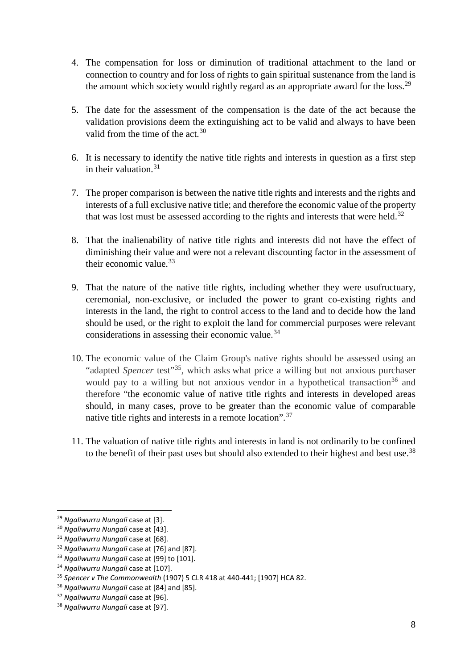- 4. The compensation for loss or diminution of traditional attachment to the land or connection to country and for loss of rights to gain spiritual sustenance from the land is the amount which society would rightly regard as an appropriate award for the loss.<sup>[29](#page-7-0)</sup>
- 5. The date for the assessment of the compensation is the date of the act because the validation provisions deem the extinguishing act to be valid and always to have been valid from the time of the act.<sup>[30](#page-7-1)</sup>
- 6. It is necessary to identify the native title rights and interests in question as a first step in their valuation. [31](#page-7-2)
- 7. The proper comparison is between the native title rights and interests and the rights and interests of a full exclusive native title; and therefore the economic value of the property that was lost must be assessed according to the rights and interests that were held.<sup>[32](#page-7-3)</sup>
- 8. That the inalienability of native title rights and interests did not have the effect of diminishing their value and were not a relevant discounting factor in the assessment of their economic value.  $33$
- 9. That the nature of the native title rights, including whether they were usufructuary, ceremonial, non-exclusive, or included the power to grant co-existing rights and interests in the land, the right to control access to the land and to decide how the land should be used, or the right to exploit the land for commercial purposes were relevant considerations in assessing their economic value.<sup>[34](#page-7-5)</sup>
- 10. The economic value of the Claim Group's native rights should be assessed using an "adapted *Spencer* test"<sup>[35](#page-7-6)</sup>, which asks what price a willing but not anxious purchaser would pay to a willing but not anxious vendor in a hypothetical transaction<sup>[36](#page-7-7)</sup> and therefore "the economic value of native title rights and interests in developed areas should, in many cases, prove to be greater than the economic value of comparable native title rights and interests in a remote location".<sup>[37](#page-7-8)</sup>
- 11. The valuation of native title rights and interests in land is not ordinarily to be confined to the benefit of their past uses but should also extended to their highest and best use.<sup>[38](#page-7-9)</sup>

<span id="page-7-0"></span> <sup>29</sup> *Ngaliwurru Nungali* case at [3].

<span id="page-7-1"></span><sup>30</sup> *Ngaliwurru Nungali* case at [43].

<span id="page-7-2"></span><sup>31</sup> *Ngaliwurru Nungali* case at [68].

<span id="page-7-3"></span><sup>32</sup> *Ngaliwurru Nungali* case at [76] and [87].

<span id="page-7-4"></span><sup>33</sup> *Ngaliwurru Nungali* case at [99] to [101].

<span id="page-7-5"></span><sup>34</sup> *Ngaliwurru Nungali* case at [107].

<span id="page-7-6"></span><sup>35</sup> *Spencer v The Commonwealth* (1907) 5 CLR 418 at 440-441; [1907] HCA 82.

<span id="page-7-7"></span><sup>36</sup> *Ngaliwurru Nungali* case at [84] and [85].

<span id="page-7-8"></span><sup>37</sup> *Ngaliwurru Nungali* case at [96].

<span id="page-7-9"></span><sup>38</sup> *Ngaliwurru Nungali* case at [97].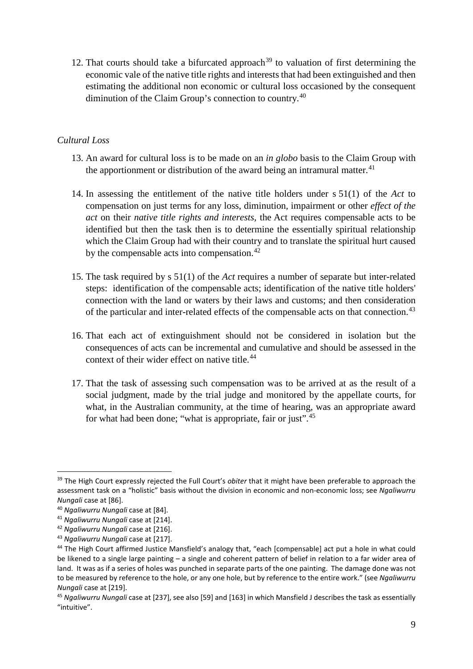12. That courts should take a bifurcated approach<sup>[39](#page-8-0)</sup> to valuation of first determining the economic vale of the native title rights and interests that had been extinguished and then estimating the additional non economic or cultural loss occasioned by the consequent diminution of the Claim Group's connection to country.<sup>[40](#page-8-1)</sup>

#### *Cultural Loss*

- 13. An award for cultural loss is to be made on an *in globo* basis to the Claim Group with the apportionment or distribution of the award being an intramural matter.<sup>[41](#page-8-2)</sup>
- 14. In assessing the entitlement of the native title holders under s 51(1) of the *Act* to compensation on just terms for any loss, diminution, impairment or other *effect of the act* on their *native title rights and interests*, the Act requires compensable acts to be identified but then the task then is to determine the essentially spiritual relationship which the Claim Group had with their country and to translate the spiritual hurt caused by the compensable acts into compensation.<sup>42</sup>
- 15. The task required by s 51(1) of the *Act* requires a number of separate but inter-related steps: identification of the compensable acts; identification of the native title holders' connection with the land or waters by their laws and customs; and then consideration of the particular and inter-related effects of the compensable acts on that connection. [43](#page-8-4)
- 16. That each act of extinguishment should not be considered in isolation but the consequences of acts can be incremental and cumulative and should be assessed in the context of their wider effect on native title.<sup>[44](#page-8-5)</sup>
- 17. That the task of assessing such compensation was to be arrived at as the result of a social judgment, made by the trial judge and monitored by the appellate courts, for what, in the Australian community, at the time of hearing, was an appropriate award for what had been done; "what is appropriate, fair or just".<sup>[45](#page-8-6)</sup>

<span id="page-8-0"></span> <sup>39</sup> The High Court expressly rejected the Full Court's *obiter* that it might have been preferable to approach the assessment task on a "holistic" basis without the division in economic and non-economic loss; see *Ngaliwurru Nungali* case at [86].

<span id="page-8-1"></span><sup>40</sup> *Ngaliwurru Nungali* case at [84].

<span id="page-8-2"></span><sup>41</sup> *Ngaliwurru Nungali* case at [214].

<span id="page-8-3"></span><sup>42</sup> *Ngaliwurru Nungali* case at [216].

<span id="page-8-4"></span><sup>43</sup> *Ngaliwurru Nungali* case at [217].

<span id="page-8-5"></span><sup>44</sup> The High Court affirmed Justice Mansfield's analogy that, "each [compensable] act put a hole in what could be likened to a single large painting – a single and coherent pattern of belief in relation to a far wider area of land. It was as if a series of holes was punched in separate parts of the one painting. The damage done was not to be measured by reference to the hole, or any one hole, but by reference to the entire work." (see *Ngaliwurru Nungali* case at [219].

<span id="page-8-6"></span><sup>45</sup> *Ngaliwurru Nungali* case at [237], see also [59] and [163] in which Mansfield J describes the task as essentially "intuitive".